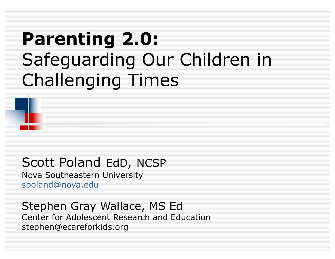# **Parenting 2.0:** Safeguarding Our Children in Challenging Times

#### Scott Poland EdD, NCSP

Nova Southeastern University spoland@nova.edu

Stephen Gray Wallace, MS Ed Center for Adolescent Research and Education stephen@ecareforkids.org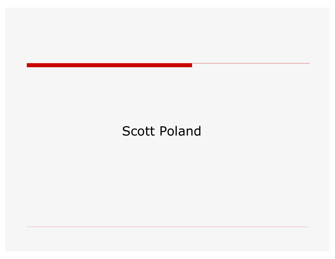#### Scott Poland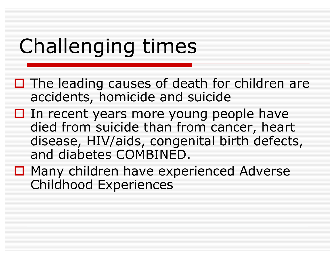# Challenging times

- $\Box$  The leading causes of death for children are accidents, homicide and suicide
- $\Box$  In recent years more young people have died from suicide than from cancer, heart disease, HIV/aids, congenital birth defects, and diabetes COMBINED.
- $\Box$  Many children have experienced Adverse Childhood Experiences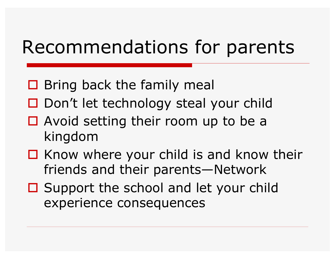# Recommendations for parents

- $\Box$  Bring back the family meal
- $\Box$  Don't let technology steal your child
- $\Box$  Avoid setting their room up to be a kingdom
- $\Box$  Know where your child is and know their friends and their parents—Network
- $\Box$  Support the school and let your child experience consequences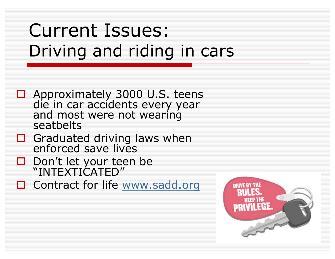# Current Issues: Driving and riding in cars

- $\Box$  Approximately 3000 U.S. teens die in car accidents every year and most were not wearing seatbelts
- $\Box$  Graduated driving laws when enforced save lives
- $\Box$  Don't let your teen be "INTEXTICATED"
- $\Box$  Contract for life www.sadd.org

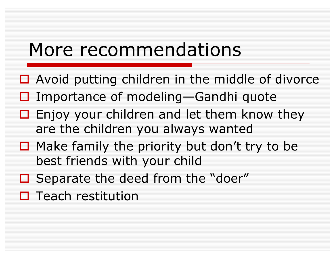### More recommendations

- $\Box$  Avoid putting children in the middle of divorce
- $\Box$  Importance of modeling—Gandhi quote
- $\Box$  Enjoy your children and let them know they are the children you always wanted
- $\Box$  Make family the priority but don't try to be best friends with your child
- $\Box$  Separate the deed from the "doer"
- $\square$  Teach restitution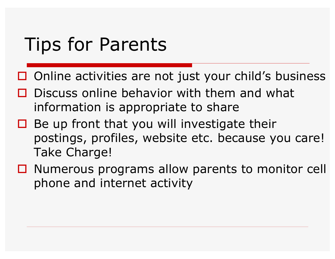# Tips for Parents

- $\Box$  Online activities are not just your child's business
- $\Box$  Discuss online behavior with them and what information is appropriate to share
- $\Box$  Be up front that you will investigate their postings, profiles, website etc. because you care! Take Charge!
- $\Box$  Numerous programs allow parents to monitor cell phone and internet activity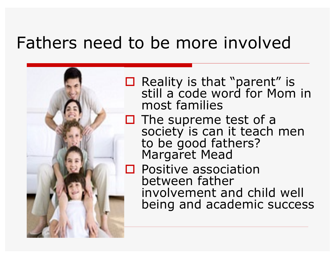#### Fathers need to be more involved



 $\Box$  Reality is that "parent" is still a code word for Mom in most families

 $\Box$  The supreme test of a society is can it teach men to be good fathers? Margaret Mead

 $\square$  Positive association between father involvement and child well being and academic success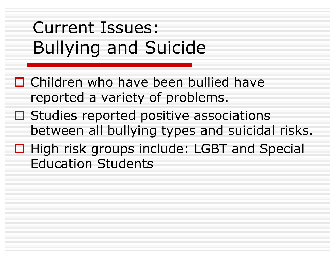# Current Issues: Bullying and Suicide

- $\Box$  Children who have been bullied have reported a variety of problems.
- $\Box$  Studies reported positive associations between all bullying types and suicidal risks.
- □ High risk groups include: LGBT and Special Education Students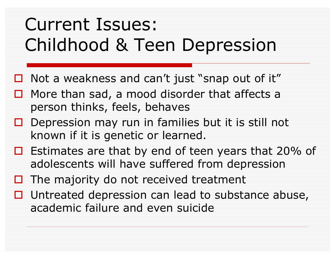# Current Issues: Childhood & Teen Depression

- $\Box$  Not a weakness and can't just "snap out of it"
- $\Box$  More than sad, a mood disorder that affects a person thinks, feels, behaves
- $\Box$  Depression may run in families but it is still not known if it is genetic or learned.
- $\Box$  Estimates are that by end of teen years that 20% of adolescents will have suffered from depression
- $\Box$  The majority do not received treatment
- $\Box$  Untreated depression can lead to substance abuse, academic failure and even suicide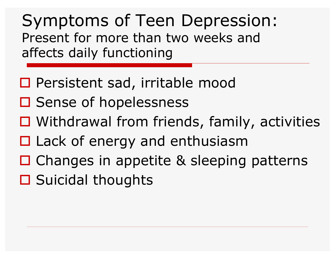Symptoms of Teen Depression: Present for more than two weeks and affects daily functioning

- □ Persistent sad, irritable mood
- □ Sense of hopelessness
- $\Box$  Withdrawal from friends, family, activities
- $\Box$  Lack of energy and enthusiasm
- $\Box$  Changes in appetite & sleeping patterns
- $\square$  Suicidal thoughts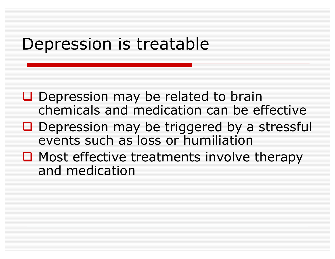#### Depression is treatable

- $\Box$  Depression may be related to brain chemicals and medication can be effective
- $\Box$  Depression may be triggered by a stressful events such as loss or humiliation
- $\Box$  Most effective treatments involve therapy and medication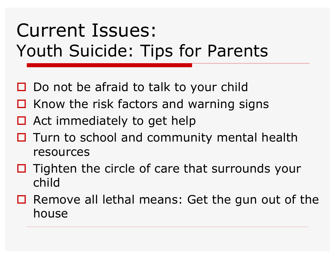# Current Issues: Youth Suicide: Tips for Parents

- $\Box$  Do not be afraid to talk to your child
- $\Box$  Know the risk factors and warning signs
- $\Box$  Act immediately to get help
- $\Box$  Turn to school and community mental health resources
- $\Box$  Tighten the circle of care that surrounds your child
- $\Box$  Remove all lethal means: Get the gun out of the house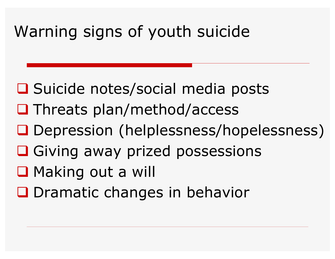### Warning signs of youth suicide

- **□** Suicide notes/social media posts
- $\Box$  Threats plan/method/access
- **□ Depression (helplessness/hopelessness)**
- **Q** Giving away prized possessions
- **Q** Making out a will
- **Q** Dramatic changes in behavior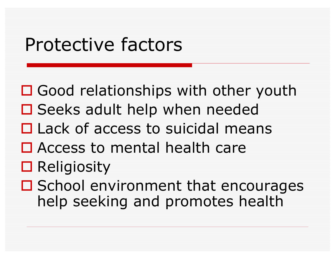## Protective factors

 $\Box$  Good relationships with other youth  $\square$  Seeks adult help when needed  $\square$  Lack of access to suicidal means  $\Box$  Access to mental health care  $\Box$  Religiosity  $\square$  School environment that encourages help seeking and promotes health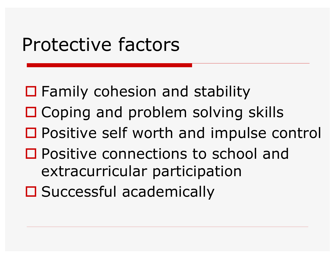# Protective factors

 $\Box$  Family cohesion and stability  $\Box$  Coping and problem solving skills  $\Box$  Positive self worth and impulse control □ Positive connections to school and extracurricular participation  $\square$  Successful academically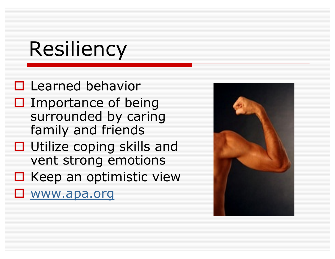# Resiliency

 $\Box$  Learned behavior  $\square$  Importance of being surrounded by caring family and friends  $\Box$  Utilize coping skills and

- vent strong emotions
- $\square$  Keep an optimistic view
- $\square$  www.apa.org

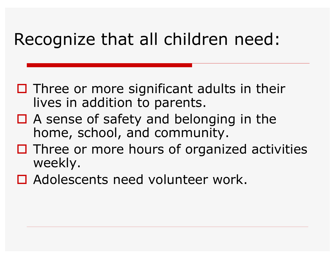#### Recognize that all children need:

- $\Box$  Three or more significant adults in their lives in addition to parents.
- $\Box$  A sense of safety and belonging in the home, school, and community.
- $\Box$  Three or more hours of organized activities weekly.
- $\Box$  Adolescents need volunteer work.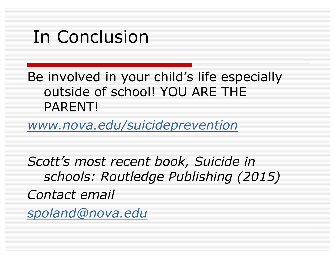### In Conclusion

Be involved in your child's life especially outside of school! YOU ARE THE PARENT!

*www.nova.edu/suicideprevention*

*Scott's most recent book, Suicide in schools: Routledge Publishing (2015) Contact email spoland@nova.edu*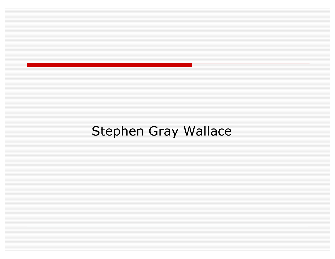#### Stephen Gray Wallace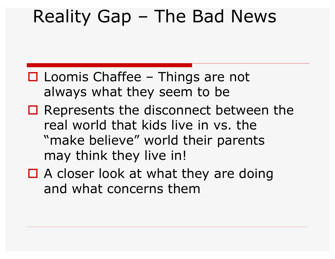- $\Box$  Loomis Chaffee Things are not always what they seem to be
- $\Box$  Represents the disconnect between the real world that kids live in vs. the "make believe" world their parents may think they live in!
- $\Box$  A closer look at what they are doing and what concerns them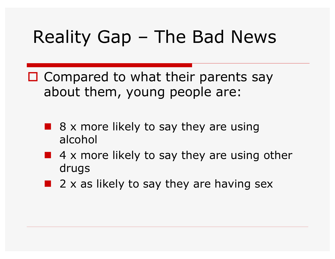- $\Box$  Compared to what their parents say about them, young people are:
	- $\blacksquare$  8 x more likely to say they are using alcohol
	- 4 x more likely to say they are using other drugs
	- $\blacksquare$  2 x as likely to say they are having sex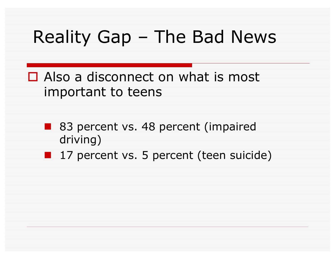$\Box$  Also a disconnect on what is most important to teens

- 83 percent vs. 48 percent (impaired driving)
- **n** 17 percent vs. 5 percent (teen suicide)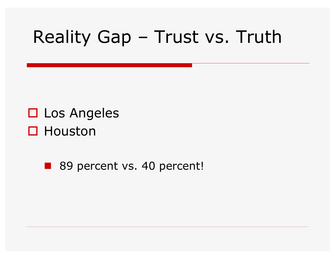# Reality Gap – Trust vs. Truth

#### $\square$  Los Angeles  $\square$  Houston

**n** 89 percent vs. 40 percent!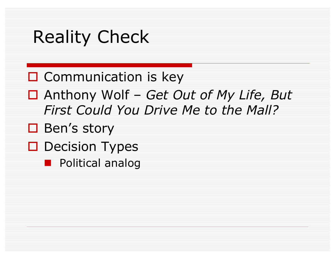## Reality Check

#### $\square$  Communication is key

- o Anthony Wolf *Get Out of My Life, But First Could You Drive Me to the Mall?*
- $\Box$  Ben's story
- **O** Decision Types
	- **n** Political analog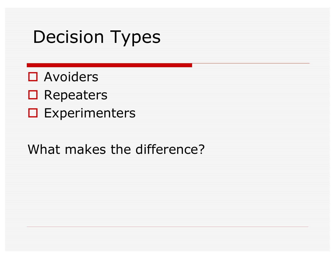# Decision Types

- $\square$  Avoiders
- $\blacksquare$  Repeaters
- $\square$  Experimenters

#### What makes the difference?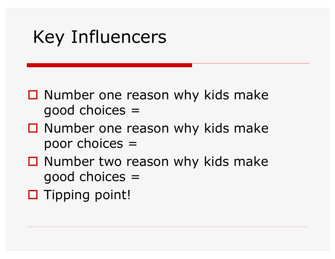# Key Influencers

- $\Box$  Number one reason why kids make good choices =
- $\Box$  Number one reason why kids make poor choices =
- $\Box$  Number two reason why kids make good choices =
- $\square$  Tipping point!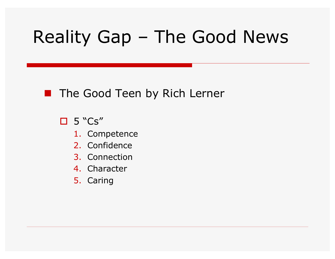#### **n** The Good Teen by Rich Lerner

 $\Box$  5 "Cs"

- 1. Competence
- 2. Confidence
- 3. Connection
- 4. Character
- 5. Caring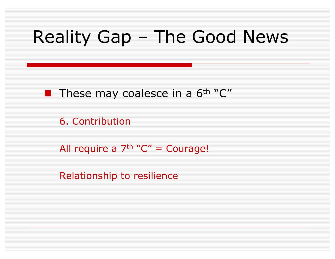

6. Contribution

All require a  $7<sup>th</sup>$  "C" = Courage!

Relationship to resilience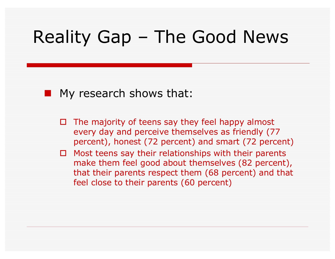

- $\Box$  The majority of teens say they feel happy almost every day and perceive themselves as friendly (77 percent), honest (72 percent) and smart (72 percent)
- $\Box$  Most teens say their relationships with their parents make them feel good about themselves (82 percent), that their parents respect them (68 percent) and that feel close to their parents (60 percent)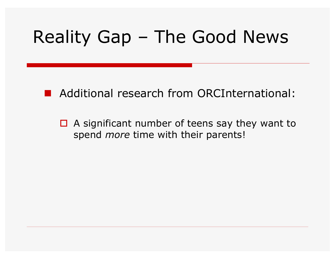**n** Additional research from ORCInternational:

 $\Box$  A significant number of teens say they want to spend *more* time with their parents!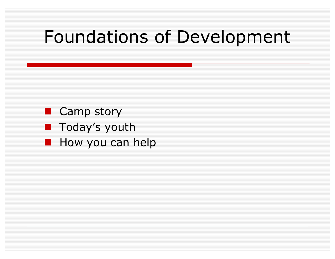### Foundations of Development

- **n** Camp story
- **n** Today's youth
- **n** How you can help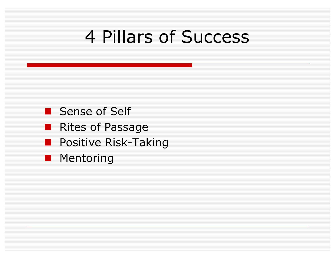# 4 Pillars of Success

- **n** Sense of Self
- **n** Rites of Passage
- **n** Positive Risk-Taking
- **n** Mentoring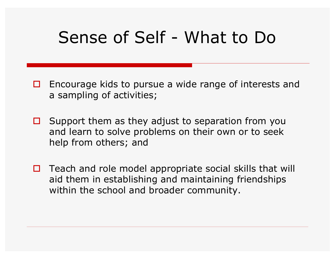#### Sense of Self - What to Do

- $\Box$  Encourage kids to pursue a wide range of interests and a sampling of activities;
- $\Box$  Support them as they adjust to separation from you and learn to solve problems on their own or to seek help from others; and
- $\Box$  Teach and role model appropriate social skills that will aid them in establishing and maintaining friendships within the school and broader community.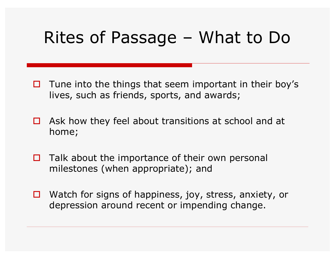### Rites of Passage – What to Do

- $\Box$  Tune into the things that seem important in their boy's lives, such as friends, sports, and awards;
- $\Box$  Ask how they feel about transitions at school and at home;
- $\Box$  Talk about the importance of their own personal milestones (when appropriate); and
- $\Box$  Watch for signs of happiness, joy, stress, anxiety, or depression around recent or impending change.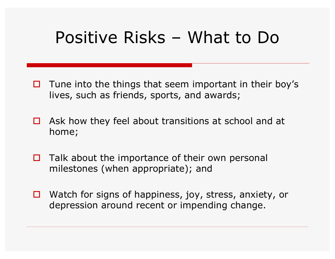#### Positive Risks – What to Do

- $\Box$  Tune into the things that seem important in their boy's lives, such as friends, sports, and awards;
- $\Box$  Ask how they feel about transitions at school and at home;
- $\Box$  Talk about the importance of their own personal milestones (when appropriate); and
- $\Box$  Watch for signs of happiness, joy, stress, anxiety, or depression around recent or impending change.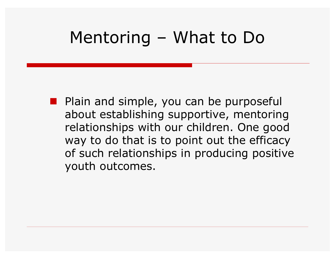#### Mentoring – What to Do

**n** Plain and simple, you can be purposeful about establishing supportive, mentoring relationships with our children. One good way to do that is to point out the efficacy of such relationships in producing positive youth outcomes.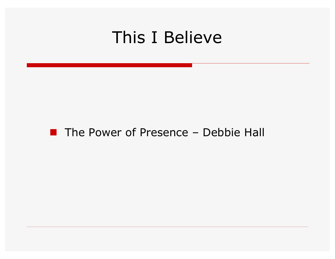#### This I Believe

#### $\blacksquare$  The Power of Presence – Debbie Hall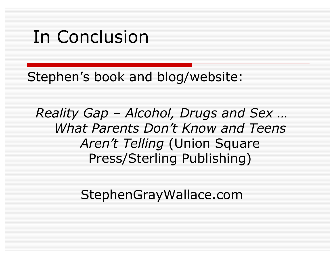### In Conclusion

Stephen's book and blog/website:

*Reality Gap – Alcohol, Drugs and Sex … What Parents Don't Know and Teens Aren't Telling* (Union Square Press/Sterling Publishing)

StephenGrayWallace.com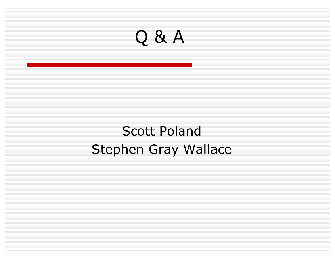

#### Scott Poland Stephen Gray Wallace